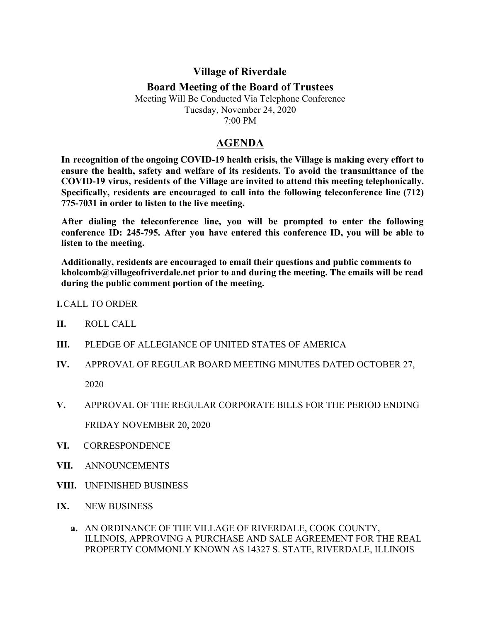## **Village of Riverdale**

## **Board Meeting of the Board of Trustees**

Meeting Will Be Conducted Via Telephone Conference Tuesday, November 24, 2020 7:00 PM

## **AGENDA**

**In recognition of the ongoing COVID-19 health crisis, the Village is making every effort to ensure the health, safety and welfare of its residents. To avoid the transmittance of the COVID-19 virus, residents of the Village are invited to attend this meeting telephonically. Specifically, residents are encouraged to call into the following teleconference line (712) 775-7031 in order to listen to the live meeting.**

**After dialing the teleconference line, you will be prompted to enter the following conference ID: 245-795. After you have entered this conference ID, you will be able to listen to the meeting.**

**Additionally, residents are encouraged to email their questions and public comments to kholcomb@villageofriverdale.net prior to and during the meeting. The emails will be read during the public comment portion of the meeting.**

## **I.**CALL TO ORDER

- **II.** ROLL CALL
- **III.** PLEDGE OF ALLEGIANCE OF UNITED STATES OF AMERICA
- **IV.** APPROVAL OF REGULAR BOARD MEETING MINUTES DATED OCTOBER 27, 2020
- **V.** APPROVAL OF THE REGULAR CORPORATE BILLS FOR THE PERIOD ENDING FRIDAY NOVEMBER 20, 2020
- **VI.** CORRESPONDENCE
- **VII.** ANNOUNCEMENTS
- **VIII.** UNFINISHED BUSINESS
- **IX.** NEW BUSINESS
	- **a.** AN ORDINANCE OF THE VILLAGE OF RIVERDALE, COOK COUNTY, ILLINOIS, APPROVING A PURCHASE AND SALE AGREEMENT FOR THE REAL PROPERTY COMMONLY KNOWN AS 14327 S. STATE, RIVERDALE, ILLINOIS